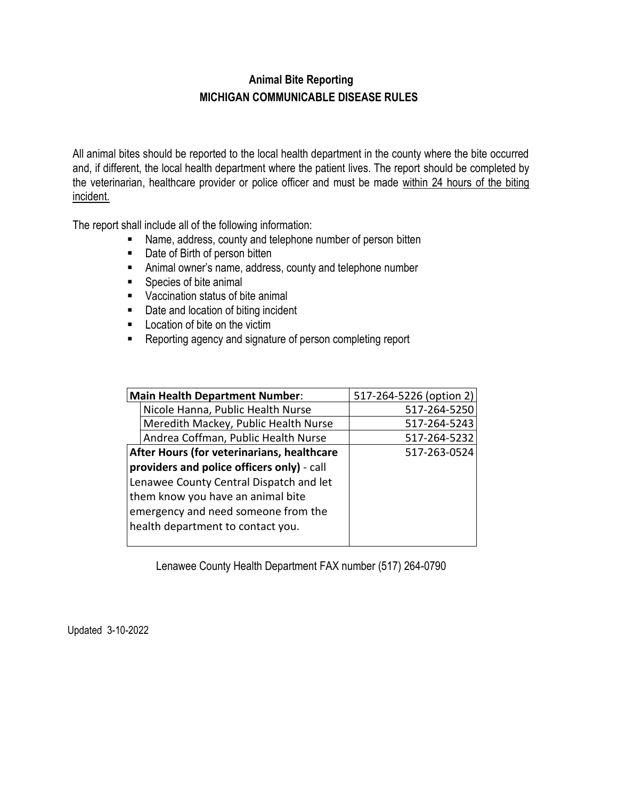## **Animal Bite Reporting MICHIGAN COMMUNICABLE DISEASE RULES**

All animal bites should be reported to the local health department in the county where the bite occurred and, if different, the local health department where the patient lives. The report should be completed by the veterinarian, healthcare provider or police officer and must be made within 24 hours of the biting incident.

The report shall include all of the following information:

- Name, address, county and telephone number of person bitten
- **Date of Birth of person bitten**
- Animal owner's name, address, county and telephone number
- Species of bite animal
- Vaccination status of bite animal
- Date and location of biting incident
- **Location of bite on the victim**
- **Reporting agency and signature of person completing report**

| <b>Main Health Department Number:</b>      |                                         | 517-264-5226 (option 2) |
|--------------------------------------------|-----------------------------------------|-------------------------|
|                                            | Nicole Hanna, Public Health Nurse       | 517-264-5250            |
|                                            | Meredith Mackey, Public Health Nurse    | 517-264-5243            |
|                                            | Andrea Coffman, Public Health Nurse     | 517-264-5232            |
| After Hours (for veterinarians, healthcare |                                         | 517-263-0524            |
| providers and police officers only) - call |                                         |                         |
|                                            | Lenawee County Central Dispatch and let |                         |
| them know you have an animal bite          |                                         |                         |
|                                            | emergency and need someone from the     |                         |
|                                            | health department to contact you.       |                         |
|                                            |                                         |                         |

Lenawee County Health Department FAX number (517) 264-0790

Updated 3-10-2022